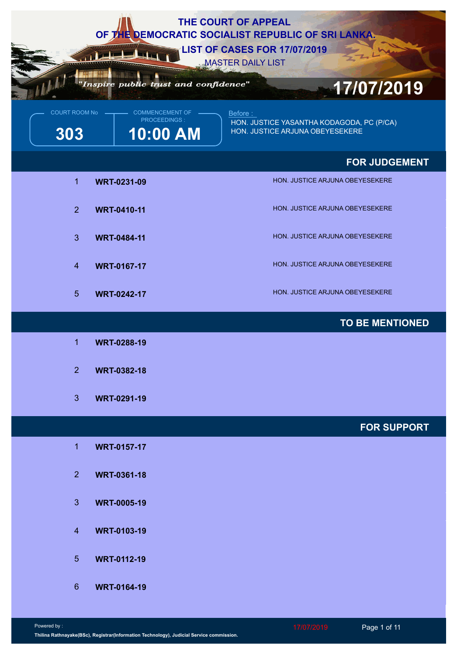| THE COURT OF APPEAL<br>OF THE DEMOCRATIC SOCIALIST REPUBLIC OF SRI LANKA.<br><b>LIST OF CASES FOR 17/07/2019</b><br><b>MASTER DAILY LIST</b><br>"Inspire public trust and confidence" |                                                      |                                                                                                        |  |
|---------------------------------------------------------------------------------------------------------------------------------------------------------------------------------------|------------------------------------------------------|--------------------------------------------------------------------------------------------------------|--|
| <b>COURT ROOM No</b><br>303                                                                                                                                                           | <b>COMMENCEMENT OF</b><br>PROCEEDINGS:<br>$10:00$ AM | 17/07/2019<br>Before :<br>HON. JUSTICE YASANTHA KODAGODA, PC (P/CA)<br>HON. JUSTICE ARJUNA OBEYESEKERE |  |
|                                                                                                                                                                                       |                                                      | <b>FOR JUDGEMENT</b>                                                                                   |  |
| $\overline{1}$                                                                                                                                                                        | <b>WRT-0231-09</b>                                   | HON. JUSTICE ARJUNA OBEYESEKERE                                                                        |  |
| 2 <sup>1</sup>                                                                                                                                                                        | <b>WRT-0410-11</b>                                   | HON. JUSTICE ARJUNA OBEYESEKERE                                                                        |  |
| 3                                                                                                                                                                                     | <b>WRT-0484-11</b>                                   | HON. JUSTICE ARJUNA OBEYESEKERE                                                                        |  |
| $\overline{4}$                                                                                                                                                                        | <b>WRT-0167-17</b>                                   | HON. JUSTICE ARJUNA OBEYESEKERE                                                                        |  |
| 5 <sup>5</sup>                                                                                                                                                                        | <b>WRT-0242-17</b>                                   | HON. JUSTICE ARJUNA OBEYESEKERE                                                                        |  |
|                                                                                                                                                                                       |                                                      | <b>TO BE MENTIONED</b>                                                                                 |  |
| -1                                                                                                                                                                                    | <b>WRT-0288-19</b>                                   |                                                                                                        |  |
| 2 <sup>1</sup>                                                                                                                                                                        | <b>WRT-0382-18</b>                                   |                                                                                                        |  |
| 3 <sup>2</sup>                                                                                                                                                                        | <b>WRT-0291-19</b>                                   |                                                                                                        |  |
|                                                                                                                                                                                       |                                                      | <b>FOR SUPPORT</b>                                                                                     |  |
| $\mathbf{1}$                                                                                                                                                                          | <b>WRT-0157-17</b>                                   |                                                                                                        |  |
| 2 <sup>1</sup>                                                                                                                                                                        | <b>WRT-0361-18</b>                                   |                                                                                                        |  |
| 3 <sup>2</sup>                                                                                                                                                                        | <b>WRT-0005-19</b>                                   |                                                                                                        |  |
| $\overline{4}$                                                                                                                                                                        | <b>WRT-0103-19</b>                                   |                                                                                                        |  |
| 5 <sup>5</sup>                                                                                                                                                                        | <b>WRT-0112-19</b>                                   |                                                                                                        |  |
| $6^{\circ}$                                                                                                                                                                           | <b>WRT-0164-19</b>                                   |                                                                                                        |  |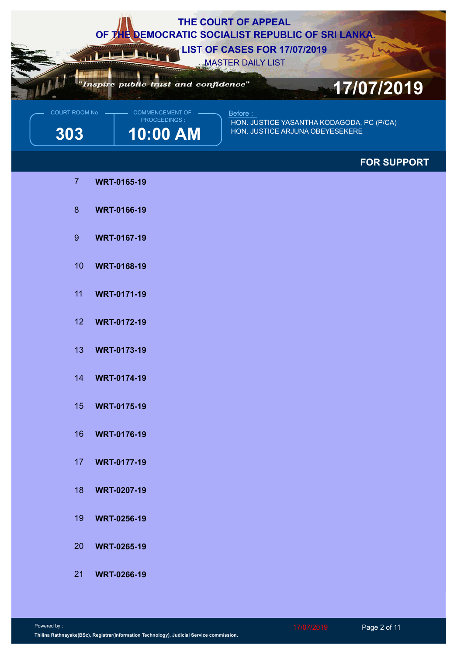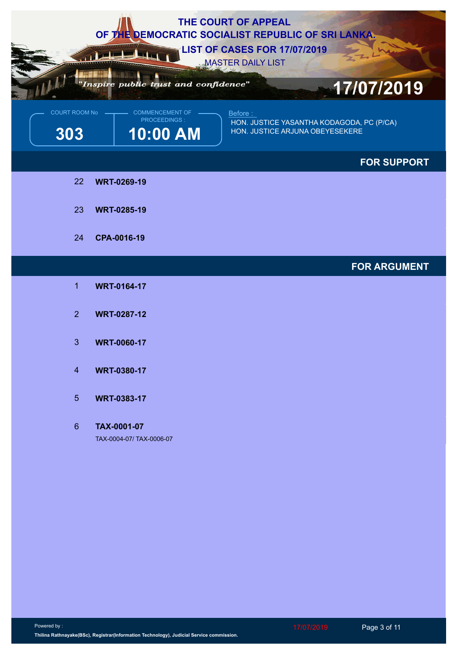|                        | "Inspire public trust and confidence"       | THE COURT OF APPEAL<br>OF THE DEMOCRATIC SOCIALIST REPUBLIC OF SRI LANKA.<br><b>LIST OF CASES FOR 17/07/2019</b><br><b>MASTER DAILY LIST</b><br>17/07/2019 |
|------------------------|---------------------------------------------|------------------------------------------------------------------------------------------------------------------------------------------------------------|
| COURT ROOM No -<br>303 | COMMENCEMENT OF<br>PROCEEDINGS:<br>10:00 AM | Before:<br>HON. JUSTICE YASANTHA KODAGODA, PC (P/CA)<br>HON. JUSTICE ARJUNA OBEYESEKERE                                                                    |
|                        |                                             | <b>FOR SUPPORT</b>                                                                                                                                         |
| 22                     | <b>WRT-0269-19</b>                          |                                                                                                                                                            |
| 23                     | <b>WRT-0285-19</b>                          |                                                                                                                                                            |
| 24                     | CPA-0016-19                                 |                                                                                                                                                            |
|                        |                                             | <b>FOR ARGUMENT</b>                                                                                                                                        |
| 1                      | <b>WRT-0164-17</b>                          |                                                                                                                                                            |
| 2 <sup>1</sup>         | <b>WRT-0287-12</b>                          |                                                                                                                                                            |
| 3                      | <b>WRT-0060-17</b>                          |                                                                                                                                                            |
| $\overline{4}$         | <b>WRT-0380-17</b>                          |                                                                                                                                                            |
| 5 <sup>5</sup>         | <b>WRT-0383-17</b>                          |                                                                                                                                                            |
| $6\phantom{1}$         | TAX-0001-07<br>TAX-0004-07/ TAX-0006-07     |                                                                                                                                                            |
|                        |                                             |                                                                                                                                                            |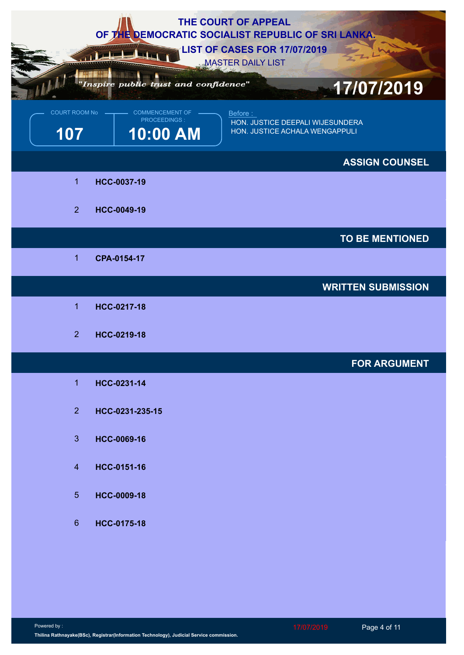|                      |                                                    | THE COURT OF APPEAL<br>OF THE DEMOCRATIC SOCIALIST REPUBLIC OF SRI LANKA.<br><b>LIST OF CASES FOR 17/07/2019</b> |
|----------------------|----------------------------------------------------|------------------------------------------------------------------------------------------------------------------|
|                      | "Inspire public trust and confidence"              | <b>MASTER DAILY LIST</b><br>17/07/2019                                                                           |
| COURT ROOM No<br>107 | <b>COMMENCEMENT OF</b><br>PROCEEDINGS:<br>10:00 AM | Before:<br>HON. JUSTICE DEEPALI WIJESUNDERA<br>HON. JUSTICE ACHALA WENGAPPULI                                    |
|                      |                                                    | <b>ASSIGN COUNSEL</b>                                                                                            |
| $\blacktriangleleft$ | HCC-0037-19                                        |                                                                                                                  |
| $\overline{2}$       | HCC-0049-19                                        |                                                                                                                  |
|                      |                                                    | TO BE MENTIONED                                                                                                  |
| 1                    | CPA-0154-17                                        |                                                                                                                  |
|                      |                                                    | <b>WRITTEN SUBMISSION</b>                                                                                        |
| 1                    | HCC-0217-18                                        |                                                                                                                  |
| 2 <sup>2</sup>       | HCC-0219-18                                        |                                                                                                                  |
|                      |                                                    | <b>FOR ARGUMENT</b>                                                                                              |
| $\mathbf{1}$         | HCC-0231-14                                        |                                                                                                                  |
| $\overline{2}$       | HCC-0231-235-15                                    |                                                                                                                  |
| 3 <sup>1</sup>       | HCC-0069-16                                        |                                                                                                                  |
| $\overline{4}$       | HCC-0151-16                                        |                                                                                                                  |
| 5 <sub>5</sub>       | HCC-0009-18                                        |                                                                                                                  |
| $6\phantom{1}$       | HCC-0175-18                                        |                                                                                                                  |
|                      |                                                    |                                                                                                                  |
|                      |                                                    |                                                                                                                  |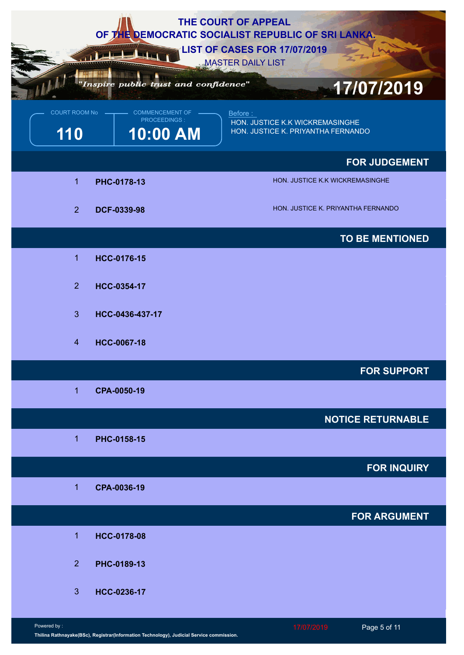|                      |                                                    | THE COURT OF APPEAL<br>OF THE DEMOCRATIC SOCIALIST REPUBLIC OF SRI LANKA.<br><b>LIST OF CASES FOR 17/07/2019</b><br><b>MASTER DAILY LIST</b> |
|----------------------|----------------------------------------------------|----------------------------------------------------------------------------------------------------------------------------------------------|
|                      | Inspire public trust and confidence"               | 17/07/2019                                                                                                                                   |
| COURT ROOM No<br>110 | <b>COMMENCEMENT OF</b><br>PROCEEDINGS:<br>10:00 AM | Before:<br>HON. JUSTICE K.K WICKREMASINGHE<br>HON. JUSTICE K. PRIYANTHA FERNANDO                                                             |
|                      |                                                    | <b>FOR JUDGEMENT</b>                                                                                                                         |
| $\blacktriangleleft$ | PHC-0178-13                                        | HON. JUSTICE K.K WICKREMASINGHE                                                                                                              |
| $\overline{2}$       | DCF-0339-98                                        | HON. JUSTICE K. PRIYANTHA FERNANDO                                                                                                           |
|                      |                                                    | <b>TO BE MENTIONED</b>                                                                                                                       |
| $\overline{1}$       | HCC-0176-15                                        |                                                                                                                                              |
| $\overline{2}$       | HCC-0354-17                                        |                                                                                                                                              |
| 3 <sup>1</sup>       | HCC-0436-437-17                                    |                                                                                                                                              |
| $\overline{4}$       | <b>HCC-0067-18</b>                                 |                                                                                                                                              |
|                      |                                                    | <b>FOR SUPPORT</b>                                                                                                                           |
| $\mathbf{1}$         | CPA-0050-19                                        |                                                                                                                                              |
|                      |                                                    | <b>NOTICE RETURNABLE</b>                                                                                                                     |
| $\overline{1}$       | PHC-0158-15                                        |                                                                                                                                              |
|                      |                                                    | <b>FOR INQUIRY</b>                                                                                                                           |
| $\overline{1}$       | CPA-0036-19                                        |                                                                                                                                              |
|                      |                                                    | <b>FOR ARGUMENT</b>                                                                                                                          |
| $\mathbf 1$          | <b>HCC-0178-08</b>                                 |                                                                                                                                              |
| 2 <sup>1</sup>       | PHC-0189-13                                        |                                                                                                                                              |
|                      |                                                    |                                                                                                                                              |
| 3 <sup>5</sup>       | HCC-0236-17                                        |                                                                                                                                              |
| Powered by:          |                                                    | 17/07/2019<br>Page 5 of 11                                                                                                                   |

**Thilina Rathnayake(BSc), Registrar(Information Technology), Judicial Service commission.**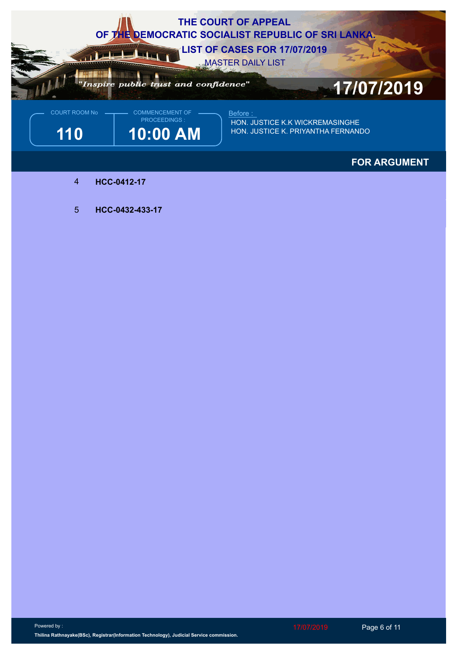

## **FOR ARGUMENT**

- 4 **HCC-0412-17**
- 5 **HCC-0432-433-17**

Powered by : **Thilina Rathnayake(BSc), Registrar(Information Technology), Judicial Service commission.** 17/07/2019 Page 6 of 11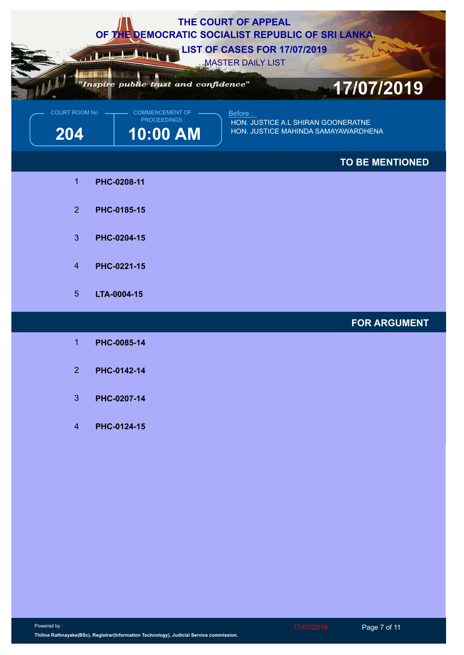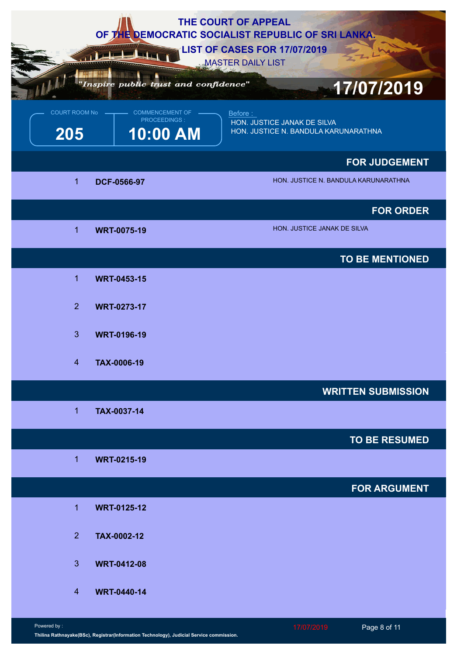|                        |                                             | THE COURT OF APPEAL<br>OF THE DEMOCRATIC SOCIALIST REPUBLIC OF SRI LANKA.       |                             |                                      |
|------------------------|---------------------------------------------|---------------------------------------------------------------------------------|-----------------------------|--------------------------------------|
|                        | "Inspire public trust and confidence"       | <b>LIST OF CASES FOR 17/07/2019</b><br><b>MASTER DAILY LIST</b>                 |                             |                                      |
| COURT ROOM No -<br>205 | COMMENCEMENT OF<br>PROCEEDINGS:<br>10:00 AM | Before :<br>HON. JUSTICE JANAK DE SILVA<br>HON. JUSTICE N. BANDULA KARUNARATHNA |                             | 17/07/2019                           |
|                        |                                             |                                                                                 |                             | <b>FOR JUDGEMENT</b>                 |
| $\blacktriangleleft$   | DCF-0566-97                                 |                                                                                 |                             | HON. JUSTICE N. BANDULA KARUNARATHNA |
|                        |                                             |                                                                                 |                             | <b>FOR ORDER</b>                     |
| -1                     | <b>WRT-0075-19</b>                          |                                                                                 | HON. JUSTICE JANAK DE SILVA |                                      |
|                        |                                             |                                                                                 |                             | TO BE MENTIONED                      |
| $\overline{1}$         | <b>WRT-0453-15</b>                          |                                                                                 |                             |                                      |
| 2 <sup>1</sup>         | <b>WRT-0273-17</b>                          |                                                                                 |                             |                                      |
| $\mathbf{3}$           | <b>WRT-0196-19</b>                          |                                                                                 |                             |                                      |
| $\overline{4}$         | TAX-0006-19                                 |                                                                                 |                             |                                      |
|                        |                                             |                                                                                 |                             | <b>WRITTEN SUBMISSION</b>            |
| $\overline{1}$         | TAX-0037-14                                 |                                                                                 |                             |                                      |
|                        |                                             |                                                                                 |                             | <b>TO BE RESUMED</b>                 |
| $\overline{1}$         | <b>WRT-0215-19</b>                          |                                                                                 |                             |                                      |
|                        |                                             |                                                                                 |                             | <b>FOR ARGUMENT</b>                  |
| $\overline{1}$         | <b>WRT-0125-12</b>                          |                                                                                 |                             |                                      |
| 2 <sup>1</sup>         | TAX-0002-12                                 |                                                                                 |                             |                                      |
| 3 <sup>2</sup>         | <b>WRT-0412-08</b>                          |                                                                                 |                             |                                      |
| $\overline{4}$         | <b>WRT-0440-14</b>                          |                                                                                 |                             |                                      |
| Powered by:            |                                             |                                                                                 | 17/07/2019                  | Page 8 of 11                         |

**Thilina Rathnayake(BSc), Registrar(Information Technology), Judicial Service commission.**

Page 8 of 11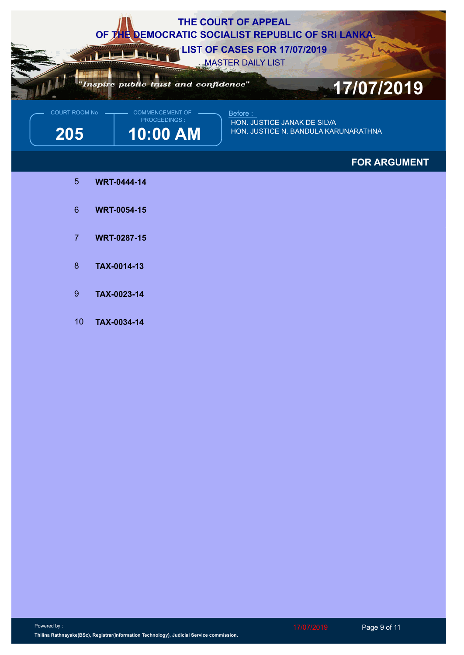

**FOR ARGUMENT**

- 5 **WRT-0444-14**
- 6 **WRT-0054-15**
- 7 **WRT-0287-15**
- 8 **TAX-0014-13**
- 9 **TAX-0023-14**
- 10 **TAX-0034-14**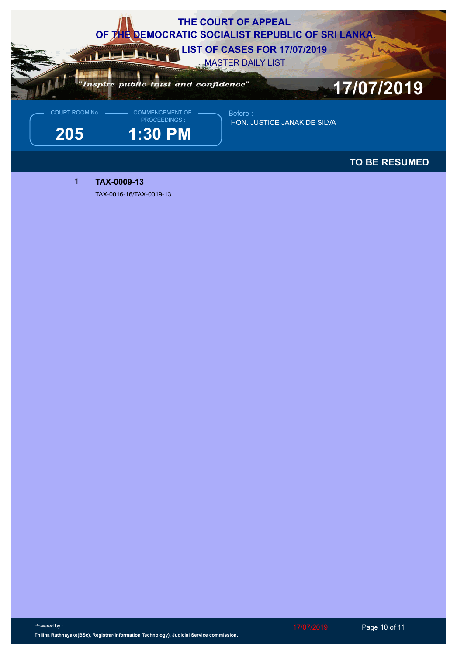

**TO BE RESUMED**

**TAX-0009-13** 

TAX-0016-16/TAX-0019-13

Powered by : **Thilina Rathnayake(BSc), Registrar(Information Technology), Judicial Service commission.**